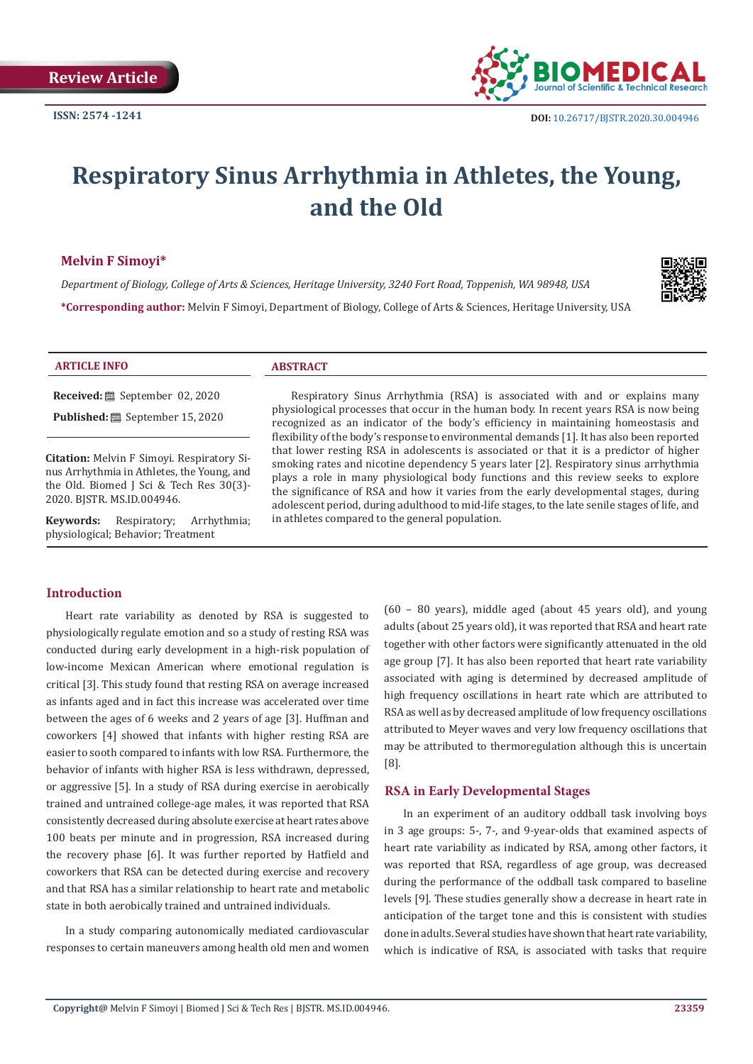

# **Respiratory Sinus Arrhythmia in Athletes, the Young, and the Old**

#### **Melvin F Simoyi\***

*Department of Biology, College of Arts & Sciences, Heritage University, 3240 Fort Road, Toppenish, WA 98948, USA* **\*Corresponding author:** Melvin F Simoyi, Department of Biology, College of Arts & Sciences, Heritage University, USA



#### **ARTICLE INFO ABSTRACT**

**Received:** September 02, 2020

**Published:** ■ September 15, 2020

**Citation:** Melvin F Simoyi. Respiratory Sinus Arrhythmia in Athletes, the Young, and the Old. Biomed J Sci & Tech Res 30(3)- 2020. BJSTR. MS.ID.004946.

**Keywords:** Respiratory; Arrhythmia; physiological; Behavior; Treatment

Respiratory Sinus Arrhythmia (RSA) is associated with and or explains many physiological processes that occur in the human body. In recent years RSA is now being recognized as an indicator of the body's efficiency in maintaining homeostasis and flexibility of the body's response to environmental demands [1]. It has also been reported that lower resting RSA in adolescents is associated or that it is a predictor of higher smoking rates and nicotine dependency 5 years later [2]. Respiratory sinus arrhythmia plays a role in many physiological body functions and this review seeks to explore the significance of RSA and how it varies from the early developmental stages, during adolescent period, during adulthood to mid-life stages, to the late senile stages of life, and in athletes compared to the general population.

#### **Introduction**

Heart rate variability as denoted by RSA is suggested to physiologically regulate emotion and so a study of resting RSA was conducted during early development in a high-risk population of low-income Mexican American where emotional regulation is critical [3]. This study found that resting RSA on average increased as infants aged and in fact this increase was accelerated over time between the ages of 6 weeks and 2 years of age [3]. Huffman and coworkers [4] showed that infants with higher resting RSA are easier to sooth compared to infants with low RSA. Furthermore, the behavior of infants with higher RSA is less withdrawn, depressed, or aggressive [5]. In a study of RSA during exercise in aerobically trained and untrained college-age males, it was reported that RSA consistently decreased during absolute exercise at heart rates above 100 beats per minute and in progression, RSA increased during the recovery phase [6]. It was further reported by Hatfield and coworkers that RSA can be detected during exercise and recovery and that RSA has a similar relationship to heart rate and metabolic state in both aerobically trained and untrained individuals.

In a study comparing autonomically mediated cardiovascular responses to certain maneuvers among health old men and women (60 – 80 years), middle aged (about 45 years old), and young adults (about 25 years old), it was reported that RSA and heart rate together with other factors were significantly attenuated in the old age group [7]. It has also been reported that heart rate variability associated with aging is determined by decreased amplitude of high frequency oscillations in heart rate which are attributed to RSA as well as by decreased amplitude of low frequency oscillations attributed to Meyer waves and very low frequency oscillations that may be attributed to thermoregulation although this is uncertain [8].

#### **RSA in Early Developmental Stages**

In an experiment of an auditory oddball task involving boys in 3 age groups: 5-, 7-, and 9-year-olds that examined aspects of heart rate variability as indicated by RSA, among other factors, it was reported that RSA, regardless of age group, was decreased during the performance of the oddball task compared to baseline levels [9]. These studies generally show a decrease in heart rate in anticipation of the target tone and this is consistent with studies done in adults. Several studies have shown that heart rate variability, which is indicative of RSA, is associated with tasks that require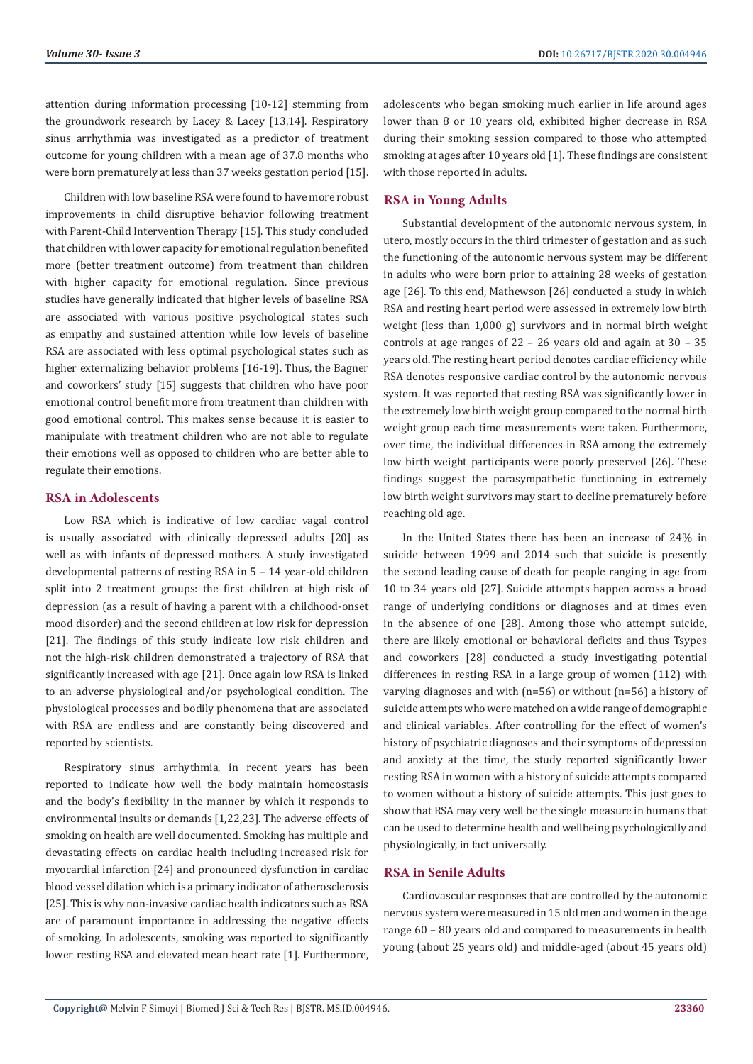attention during information processing [10-12] stemming from the groundwork research by Lacey & Lacey [13,14]. Respiratory sinus arrhythmia was investigated as a predictor of treatment outcome for young children with a mean age of 37.8 months who were born prematurely at less than 37 weeks gestation period [15].

Children with low baseline RSA were found to have more robust improvements in child disruptive behavior following treatment with Parent-Child Intervention Therapy [15]. This study concluded that children with lower capacity for emotional regulation benefited more (better treatment outcome) from treatment than children with higher capacity for emotional regulation. Since previous studies have generally indicated that higher levels of baseline RSA are associated with various positive psychological states such as empathy and sustained attention while low levels of baseline RSA are associated with less optimal psychological states such as higher externalizing behavior problems [16-19]. Thus, the Bagner and coworkers' study [15] suggests that children who have poor emotional control benefit more from treatment than children with good emotional control. This makes sense because it is easier to manipulate with treatment children who are not able to regulate their emotions well as opposed to children who are better able to regulate their emotions.

## **RSA in Adolescents**

Low RSA which is indicative of low cardiac vagal control is usually associated with clinically depressed adults [20] as well as with infants of depressed mothers. A study investigated developmental patterns of resting RSA in 5 – 14 year-old children split into 2 treatment groups: the first children at high risk of depression (as a result of having a parent with a childhood-onset mood disorder) and the second children at low risk for depression [21]. The findings of this study indicate low risk children and not the high-risk children demonstrated a trajectory of RSA that significantly increased with age [21]. Once again low RSA is linked to an adverse physiological and/or psychological condition. The physiological processes and bodily phenomena that are associated with RSA are endless and are constantly being discovered and reported by scientists.

Respiratory sinus arrhythmia, in recent years has been reported to indicate how well the body maintain homeostasis and the body's flexibility in the manner by which it responds to environmental insults or demands [1,22,23]. The adverse effects of smoking on health are well documented. Smoking has multiple and devastating effects on cardiac health including increased risk for myocardial infarction [24] and pronounced dysfunction in cardiac blood vessel dilation which is a primary indicator of atherosclerosis [25]. This is why non-invasive cardiac health indicators such as RSA are of paramount importance in addressing the negative effects of smoking. In adolescents, smoking was reported to significantly lower resting RSA and elevated mean heart rate [1]. Furthermore,

adolescents who began smoking much earlier in life around ages lower than 8 or 10 years old, exhibited higher decrease in RSA during their smoking session compared to those who attempted smoking at ages after 10 years old [1]. These findings are consistent with those reported in adults.

## **RSA in Young Adults**

Substantial development of the autonomic nervous system, in utero, mostly occurs in the third trimester of gestation and as such the functioning of the autonomic nervous system may be different in adults who were born prior to attaining 28 weeks of gestation age [26]. To this end, Mathewson [26] conducted a study in which RSA and resting heart period were assessed in extremely low birth weight (less than 1,000 g) survivors and in normal birth weight controls at age ranges of 22 – 26 years old and again at 30 – 35 years old. The resting heart period denotes cardiac efficiency while RSA denotes responsive cardiac control by the autonomic nervous system. It was reported that resting RSA was significantly lower in the extremely low birth weight group compared to the normal birth weight group each time measurements were taken. Furthermore, over time, the individual differences in RSA among the extremely low birth weight participants were poorly preserved [26]. These findings suggest the parasympathetic functioning in extremely low birth weight survivors may start to decline prematurely before reaching old age.

In the United States there has been an increase of 24% in suicide between 1999 and 2014 such that suicide is presently the second leading cause of death for people ranging in age from 10 to 34 years old [27]. Suicide attempts happen across a broad range of underlying conditions or diagnoses and at times even in the absence of one [28]. Among those who attempt suicide, there are likely emotional or behavioral deficits and thus Tsypes and coworkers [28] conducted a study investigating potential differences in resting RSA in a large group of women (112) with varying diagnoses and with (n=56) or without (n=56) a history of suicide attempts who were matched on a wide range of demographic and clinical variables. After controlling for the effect of women's history of psychiatric diagnoses and their symptoms of depression and anxiety at the time, the study reported significantly lower resting RSA in women with a history of suicide attempts compared to women without a history of suicide attempts. This just goes to show that RSA may very well be the single measure in humans that can be used to determine health and wellbeing psychologically and physiologically, in fact universally.

#### **RSA in Senile Adults**

Cardiovascular responses that are controlled by the autonomic nervous system were measured in 15 old men and women in the age range 60 – 80 years old and compared to measurements in health young (about 25 years old) and middle-aged (about 45 years old)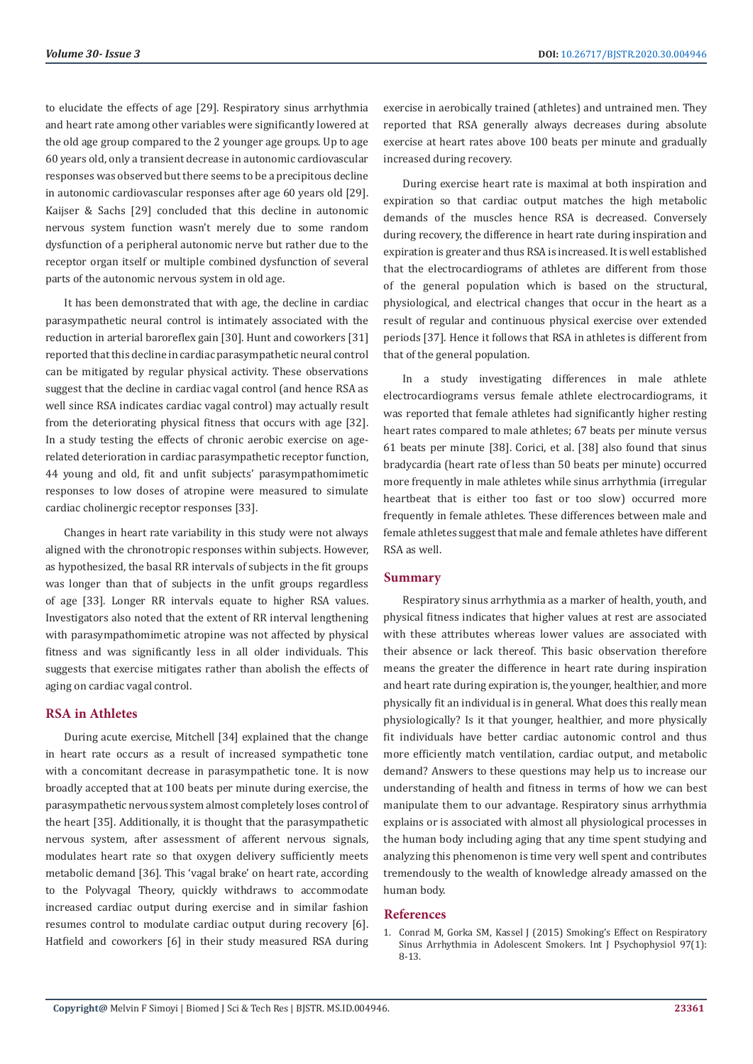to elucidate the effects of age [29]. Respiratory sinus arrhythmia and heart rate among other variables were significantly lowered at the old age group compared to the 2 younger age groups. Up to age 60 years old, only a transient decrease in autonomic cardiovascular responses was observed but there seems to be a precipitous decline in autonomic cardiovascular responses after age 60 years old [29]. Kaijser & Sachs [29] concluded that this decline in autonomic nervous system function wasn't merely due to some random dysfunction of a peripheral autonomic nerve but rather due to the receptor organ itself or multiple combined dysfunction of several parts of the autonomic nervous system in old age.

It has been demonstrated that with age, the decline in cardiac parasympathetic neural control is intimately associated with the reduction in arterial baroreflex gain [30]. Hunt and coworkers [31] reported that this decline in cardiac parasympathetic neural control can be mitigated by regular physical activity. These observations suggest that the decline in cardiac vagal control (and hence RSA as well since RSA indicates cardiac vagal control) may actually result from the deteriorating physical fitness that occurs with age [32]. In a study testing the effects of chronic aerobic exercise on agerelated deterioration in cardiac parasympathetic receptor function, 44 young and old, fit and unfit subjects' parasympathomimetic responses to low doses of atropine were measured to simulate cardiac cholinergic receptor responses [33].

Changes in heart rate variability in this study were not always aligned with the chronotropic responses within subjects. However, as hypothesized, the basal RR intervals of subjects in the fit groups was longer than that of subjects in the unfit groups regardless of age [33]. Longer RR intervals equate to higher RSA values. Investigators also noted that the extent of RR interval lengthening with parasympathomimetic atropine was not affected by physical fitness and was significantly less in all older individuals. This suggests that exercise mitigates rather than abolish the effects of aging on cardiac vagal control.

## **RSA in Athletes**

During acute exercise, Mitchell [34] explained that the change in heart rate occurs as a result of increased sympathetic tone with a concomitant decrease in parasympathetic tone. It is now broadly accepted that at 100 beats per minute during exercise, the parasympathetic nervous system almost completely loses control of the heart [35]. Additionally, it is thought that the parasympathetic nervous system, after assessment of afferent nervous signals, modulates heart rate so that oxygen delivery sufficiently meets metabolic demand [36]. This 'vagal brake' on heart rate, according to the Polyvagal Theory, quickly withdraws to accommodate increased cardiac output during exercise and in similar fashion resumes control to modulate cardiac output during recovery [6]. Hatfield and coworkers [6] in their study measured RSA during

exercise in aerobically trained (athletes) and untrained men. They reported that RSA generally always decreases during absolute exercise at heart rates above 100 beats per minute and gradually increased during recovery.

During exercise heart rate is maximal at both inspiration and expiration so that cardiac output matches the high metabolic demands of the muscles hence RSA is decreased. Conversely during recovery, the difference in heart rate during inspiration and expiration is greater and thus RSA is increased. It is well established that the electrocardiograms of athletes are different from those of the general population which is based on the structural, physiological, and electrical changes that occur in the heart as a result of regular and continuous physical exercise over extended periods [37]. Hence it follows that RSA in athletes is different from that of the general population.

In a study investigating differences in male athlete electrocardiograms versus female athlete electrocardiograms, it was reported that female athletes had significantly higher resting heart rates compared to male athletes; 67 beats per minute versus 61 beats per minute [38]. Corici, et al. [38] also found that sinus bradycardia (heart rate of less than 50 beats per minute) occurred more frequently in male athletes while sinus arrhythmia (irregular heartbeat that is either too fast or too slow) occurred more frequently in female athletes. These differences between male and female athletes suggest that male and female athletes have different RSA as well.

#### **Summary**

Respiratory sinus arrhythmia as a marker of health, youth, and physical fitness indicates that higher values at rest are associated with these attributes whereas lower values are associated with their absence or lack thereof. This basic observation therefore means the greater the difference in heart rate during inspiration and heart rate during expiration is, the younger, healthier, and more physically fit an individual is in general. What does this really mean physiologically? Is it that younger, healthier, and more physically fit individuals have better cardiac autonomic control and thus more efficiently match ventilation, cardiac output, and metabolic demand? Answers to these questions may help us to increase our understanding of health and fitness in terms of how we can best manipulate them to our advantage. Respiratory sinus arrhythmia explains or is associated with almost all physiological processes in the human body including aging that any time spent studying and analyzing this phenomenon is time very well spent and contributes tremendously to the wealth of knowledge already amassed on the human body.

#### **References**

1. [Conrad M, Gorka SM, Kassel J \(2015\) Smoking's Effect on Respiratory](https://www.ncbi.nlm.nih.gov/pmc/articles/PMC4458705/) [Sinus Arrhythmia in Adolescent Smokers. Int J Psychophysiol 97\(1\):](https://www.ncbi.nlm.nih.gov/pmc/articles/PMC4458705/) [8-13.](https://www.ncbi.nlm.nih.gov/pmc/articles/PMC4458705/)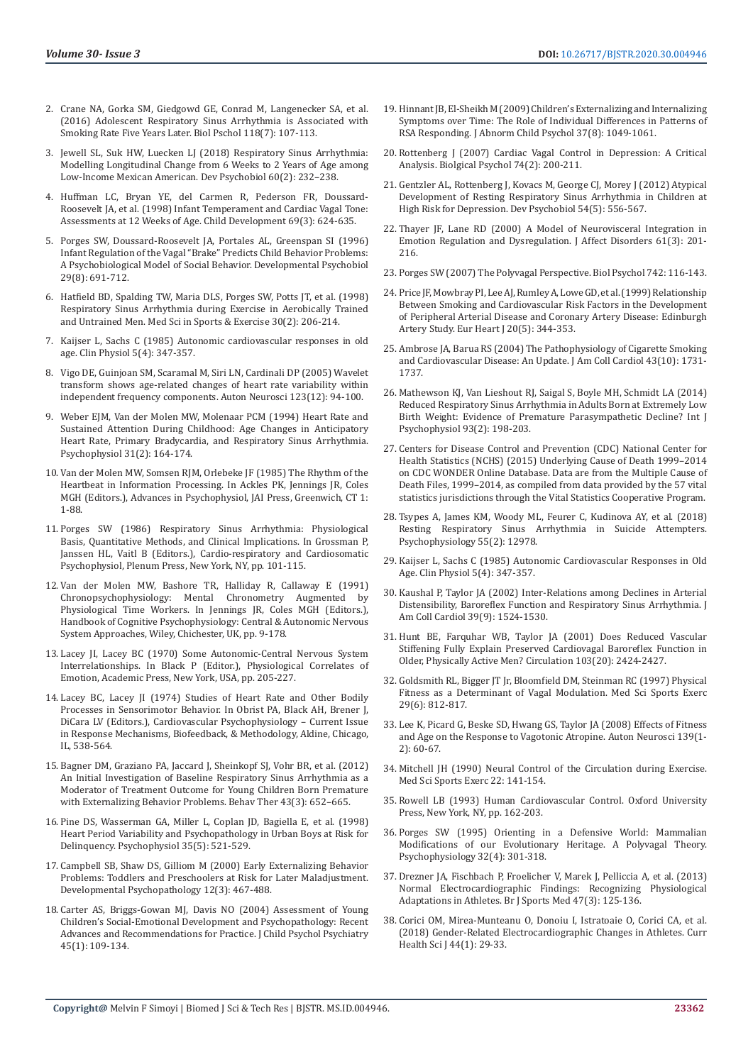- 2. [Crane NA, Gorka SM, Giedgowd GE, Conrad M, Langenecker SA, et al.](https://www.ncbi.nlm.nih.gov/pmc/articles/PMC4956523/)  [\(2016\) Adolescent Respiratory Sinus Arrhythmia is Associated with](https://www.ncbi.nlm.nih.gov/pmc/articles/PMC4956523/)  [Smoking Rate Five Years Later. Biol Pschol 118\(7\): 107-113.](https://www.ncbi.nlm.nih.gov/pmc/articles/PMC4956523/)
- 3. [Jewell SL, Suk HW, Luecken LJ \(2018\) Respiratory Sinus Arrhythmia:](https://pubmed.ncbi.nlm.nih.gov/29193026/)  [Modelling Longitudinal Change from 6 Weeks to 2 Years of Age among](https://pubmed.ncbi.nlm.nih.gov/29193026/)  [Low-Income Mexican American. Dev Psychobiol 60\(2\): 232–238.](https://pubmed.ncbi.nlm.nih.gov/29193026/)
- 4. [Huffman LC, Bryan YE, del Carmen R, Pederson FR, Doussard-](https://srcd.onlinelibrary.wiley.com/doi/abs/10.1111/j.1467-8624.1998.tb06233.x)[Roosevelt JA, et al. \(1998\) Infant Temperament and Cardiac Vagal Tone:](https://srcd.onlinelibrary.wiley.com/doi/abs/10.1111/j.1467-8624.1998.tb06233.x)  [Assessments at 12 Weeks of Age. Child Development 69\(3\): 624-635.](https://srcd.onlinelibrary.wiley.com/doi/abs/10.1111/j.1467-8624.1998.tb06233.x)
- 5. [Porges SW, Doussard-Roosevelt JA, Portales AL, Greenspan SI \(1996\)](https://psycnet.apa.org/record/1997-02320-004)  [Infant Regulation of the Vagal "Brake" Predicts Child Behavior Problems:](https://psycnet.apa.org/record/1997-02320-004)  [A Psychobiological Model of Social Behavior. Developmental Psychobiol](https://psycnet.apa.org/record/1997-02320-004)  [29\(8\): 691-712.](https://psycnet.apa.org/record/1997-02320-004)
- 6. [Hatfield BD, Spalding TW, Maria DLS, Porges SW, Potts JT, et al. \(1998\)](https://pubmed.ncbi.nlm.nih.gov/9502347/)  [Respiratory Sinus Arrhythmia during Exercise in Aerobically Trained](https://pubmed.ncbi.nlm.nih.gov/9502347/)  [and Untrained Men. Med Sci in Sports & Exercise 30\(2\): 206-214.](https://pubmed.ncbi.nlm.nih.gov/9502347/)
- 7. [Kaijser L, Sachs C \(1985\) Autonomic cardiovascular responses in old](https://pubmed.ncbi.nlm.nih.gov/4042574/)  [age. Clin Physiol 5\(4\): 347-357.](https://pubmed.ncbi.nlm.nih.gov/4042574/)
- 8. [Vigo DE, Guinjoan SM, Scaramal M, Siri LN, Cardinali DP \(2005\) Wavelet](https://pubmed.ncbi.nlm.nih.gov/16293445/)  [transform shows age-related changes of heart rate variability within](https://pubmed.ncbi.nlm.nih.gov/16293445/)  [independent frequency components. Auton Neurosci 123\(12\): 94-100.](https://pubmed.ncbi.nlm.nih.gov/16293445/)
- 9. [Weber EJM, Van der Molen MW, Molenaar PCM \(1994\) Heart Rate and](https://onlinelibrary.wiley.com/doi/abs/10.1111/j.1469-8986.1994.tb01036.x)  [Sustained Attention During Childhood: Age Changes in Anticipatory](https://onlinelibrary.wiley.com/doi/abs/10.1111/j.1469-8986.1994.tb01036.x)  [Heart Rate, Primary Bradycardia, and Respiratory Sinus Arrhythmia.](https://onlinelibrary.wiley.com/doi/abs/10.1111/j.1469-8986.1994.tb01036.x)  [Psychophysiol 31\(2\): 164-174.](https://onlinelibrary.wiley.com/doi/abs/10.1111/j.1469-8986.1994.tb01036.x)
- 10. Van der Molen MW, Somsen RJM, Orlebeke JF (1985) The Rhythm of the Heartbeat in Information Processing. In Ackles PK, Jennings JR, Coles MGH (Editors.), Advances in Psychophysiol, JAI Press, Greenwich, CT 1: 1-88.
- 11. Porges SW (1986) Respiratory Sinus Arrhythmia: Physiological Basis, Quantitative Methods, and Clinical Implications. In Grossman P, Janssen HL, Vaitl B (Editors.), Cardio-respiratory and Cardiosomatic Psychophysiol, Plenum Press, New York, NY, pp. 101-115.
- 12. Van der Molen MW, Bashore TR, Halliday R, Callaway E (1991) Chronopsychophysiology: Mental Chronometry Augmented by Physiological Time Workers. In Jennings JR, Coles MGH (Editors.), Handbook of Cognitive Psychophysiology: Central & Autonomic Nervous System Approaches, Wiley, Chichester, UK, pp. 9-178.
- 13. Lacey JI, Lacey BC (1970) Some Autonomic-Central Nervous System Interrelationships. In Black P (Editor.), Physiological Correlates of Emotion, Academic Press, New York, USA, pp. 205-227.
- 14. Lacey BC, Lacey JI (1974) Studies of Heart Rate and Other Bodily Processes in Sensorimotor Behavior. In Obrist PA, Black AH, Brener J, DiCara LV (Editors.), Cardiovascular Psychophysiology – Current Issue in Response Mechanisms, Biofeedback, & Methodology, Aldine, Chicago, IL, 538-564.
- 15. [Bagner DM, Graziano PA, Jaccard J, Sheinkopf SJ, Vohr BR, et al. \(2012\)](https://pubmed.ncbi.nlm.nih.gov/22697452/)  [An Initial Investigation of Baseline Respiratory Sinus Arrhythmia as a](https://pubmed.ncbi.nlm.nih.gov/22697452/)  [Moderator of Treatment Outcome for Young Children Born Premature](https://pubmed.ncbi.nlm.nih.gov/22697452/)  [with Externalizing Behavior Problems. Behav Ther 43\(3\): 652–665.](https://pubmed.ncbi.nlm.nih.gov/22697452/)
- 16. [Pine DS, Wasserman GA, Miller L, Coplan JD, Bagiella E, et al. \(1998\)](https://pubmed.ncbi.nlm.nih.gov/9715096/)  [Heart Period Variability and Psychopathology in Urban Boys at Risk for](https://pubmed.ncbi.nlm.nih.gov/9715096/)  [Delinquency. Psychophysiol 35\(5\): 521-529.](https://pubmed.ncbi.nlm.nih.gov/9715096/)
- 17. [Campbell SB, Shaw DS, Gilliom M \(2000\) Early Externalizing Behavior](https://pubmed.ncbi.nlm.nih.gov/11014748/)  [Problems: Toddlers and Preschoolers at Risk for Later Maladjustment.](https://pubmed.ncbi.nlm.nih.gov/11014748/)  [Developmental Psychopathology 12\(3\): 467-488.](https://pubmed.ncbi.nlm.nih.gov/11014748/)
- 18. [Carter AS, Briggs-Gowan MJ, Davis NO \(2004\) Assessment of Young](https://pubmed.ncbi.nlm.nih.gov/14959805/)  [Children's Social-Emotional Development and Psychopathology: Recent](https://pubmed.ncbi.nlm.nih.gov/14959805/)  [Advances and Recommendations for Practice. J Child Psychol Psychiatry](https://pubmed.ncbi.nlm.nih.gov/14959805/)  [45\(1\): 109-134.](https://pubmed.ncbi.nlm.nih.gov/14959805/)
- 19. [Hinnant JB, El-Sheikh M \(2009\) Children's Externalizing and Internalizing](https://pubmed.ncbi.nlm.nih.gov/19711181/) [Symptoms over Time: The Role of Individual Differences in Patterns of](https://pubmed.ncbi.nlm.nih.gov/19711181/) [RSA Responding. J Abnorm Child Psychol 37\(8\): 1049-1061.](https://pubmed.ncbi.nlm.nih.gov/19711181/)
- 20. [Rottenberg J \(2007\) Cardiac Vagal Control in Depression: A Critical](https://www.sciencedirect.com/science/article/abs/pii/S0301051106001852) [Analysis. Biolgical Psychol 74\(2\): 200-211.](https://www.sciencedirect.com/science/article/abs/pii/S0301051106001852)
- 21. [Gentzler AL, Rottenberg J, Kovacs M, George CJ, Morey J \(2012\) Atypical](https://www.ncbi.nlm.nih.gov/pmc/articles/PMC3449170/) [Development of Resting Respiratory Sinus Arrhythmia in Children at](https://www.ncbi.nlm.nih.gov/pmc/articles/PMC3449170/) [High Risk for Depression. Dev Psychobiol 54\(5\): 556-567.](https://www.ncbi.nlm.nih.gov/pmc/articles/PMC3449170/)
- 22. [Thayer JF, Lane RD \(2000\) A Model of Neurovisceral Integration in](https://pubmed.ncbi.nlm.nih.gov/11163422/) [Emotion Regulation and Dysregulation. J Affect Disorders 61\(3\): 201-](https://pubmed.ncbi.nlm.nih.gov/11163422/) [216.](https://pubmed.ncbi.nlm.nih.gov/11163422/)
- 23. [Porges SW \(2007\) The Polyvagal Perspective. Biol Psychol 742: 116-143.](https://www.ncbi.nlm.nih.gov/pmc/articles/PMC1868418/)
- 24. [Price JF, Mowbray PI, Lee AJ, Rumley A, Lowe GD, et al. \(1999\) Relationship](https://pubmed.ncbi.nlm.nih.gov/10206381/) [Between Smoking and Cardiovascular Risk Factors in the Development](https://pubmed.ncbi.nlm.nih.gov/10206381/) [of Peripheral Arterial Disease and Coronary Artery Disease: Edinburgh](https://pubmed.ncbi.nlm.nih.gov/10206381/) [Artery Study. Eur Heart J 20\(5\): 344-353.](https://pubmed.ncbi.nlm.nih.gov/10206381/)
- 25. [Ambrose JA, Barua RS \(2004\) The Pathophysiology of Cigarette Smoking](https://pubmed.ncbi.nlm.nih.gov/15145091/) [and Cardiovascular Disease: An Update. J Am Coll Cardiol 43\(10\): 1731-](https://pubmed.ncbi.nlm.nih.gov/15145091/) [1737.](https://pubmed.ncbi.nlm.nih.gov/15145091/)
- 26. [Mathewson KJ, Van Lieshout RJ, Saigal S, Boyle MH, Schmidt LA \(2014\)](https://www.ncbi.nlm.nih.gov/pmc/articles/PMC4114728/) [Reduced Respiratory Sinus Arrhythmia in Adults Born at Extremely Low](https://www.ncbi.nlm.nih.gov/pmc/articles/PMC4114728/) [Birth Weight: Evidence of Premature Parasympathetic Decline? Int J](https://www.ncbi.nlm.nih.gov/pmc/articles/PMC4114728/) [Psychophysiol 93\(2\): 198-203.](https://www.ncbi.nlm.nih.gov/pmc/articles/PMC4114728/)
- 27. Centers for Disease Control and Prevention (CDC) National Center for Health Statistics (NCHS) (2015) Underlying Cause of Death 1999–2014 on CDC WONDER Online Database. Data are from the Multiple Cause of Death Files, 1999–2014, as compiled from data provided by the 57 vital statistics jurisdictions through the Vital Statistics Cooperative Program.
- 28. [Tsypes A, James KM, Woody ML, Feurer C, Kudinova AY, et al. \(2018\)](https://pubmed.ncbi.nlm.nih.gov/28792621/) [Resting Respiratory Sinus Arrhythmia in Suicide Attempters.](https://pubmed.ncbi.nlm.nih.gov/28792621/) [Psychophysiology 55\(2\): 12978.](https://pubmed.ncbi.nlm.nih.gov/28792621/)
- 29. [Kaijser L, Sachs C \(1985\) Autonomic Cardiovascular Responses in Old](https://onlinelibrary.wiley.com/doi/abs/10.1111/j.1475-097X.1985.tb00755.x) [Age. Clin Physiol 5\(4\): 347-357.](https://onlinelibrary.wiley.com/doi/abs/10.1111/j.1475-097X.1985.tb00755.x)
- 30. [Kaushal P, Taylor JA \(2002\) Inter-Relations among Declines in Arterial](https://pubmed.ncbi.nlm.nih.gov/11985918/) [Distensibility, Baroreflex Function and Respiratory Sinus Arrhythmia. J](https://pubmed.ncbi.nlm.nih.gov/11985918/) [Am Coll Cardiol 39\(9\): 1524-1530.](https://pubmed.ncbi.nlm.nih.gov/11985918/)
- 31. [Hunt BE, Farquhar WB, Taylor JA \(2001\) Does Reduced Vascular](https://www.researchgate.net/publication/11967925_Does_Reduced_Vascular_Stiffening_Fully_Explain_Preserved_Cardiovagal_Baroreflex_Function_in_Older_Physically_Active_Men) [Stiffening Fully Explain Preserved Cardiovagal Baroreflex Function in](https://www.researchgate.net/publication/11967925_Does_Reduced_Vascular_Stiffening_Fully_Explain_Preserved_Cardiovagal_Baroreflex_Function_in_Older_Physically_Active_Men) [Older, Physically Active Men? Circulation 103\(20\): 2424-2427.](https://www.researchgate.net/publication/11967925_Does_Reduced_Vascular_Stiffening_Fully_Explain_Preserved_Cardiovagal_Baroreflex_Function_in_Older_Physically_Active_Men)
- 32. [Goldsmith RL, Bigger JT Jr, Bloomfield DM, Steinman RC \(1997\) Physical](https://europepmc.org/article/med/9219210) [Fitness as a Determinant of Vagal Modulation. Med Sci Sports Exerc](https://europepmc.org/article/med/9219210) [29\(6\): 812-817.](https://europepmc.org/article/med/9219210)
- 33. [Lee K, Picard G, Beske SD, Hwang GS, Taylor JA \(2008\) Effects of Fitness](https://www.ncbi.nlm.nih.gov/pmc/articles/PMC2408756/) [and Age on the Response to Vagotonic Atropine. Auton Neurosci 139\(1-](https://www.ncbi.nlm.nih.gov/pmc/articles/PMC2408756/) [2\): 60-67.](https://www.ncbi.nlm.nih.gov/pmc/articles/PMC2408756/)
- 34. Mitchell JH (1990) Neural Control of the Circulation during Exercise. Med Sci Sports Exerc 22: 141-154.
- 35. [Rowell LB \(1993\) Human Cardiovascular Control. Oxford University](https://global.oup.com/academic/product/human-cardiovascular-control-9780195073621?cc=us&lang=en&) [Press, New York, NY, pp. 162-203.](https://global.oup.com/academic/product/human-cardiovascular-control-9780195073621?cc=us&lang=en&)
- 36. [Porges SW \(1995\) Orienting in a Defensive World: Mammalian](https://pubmed.ncbi.nlm.nih.gov/7652107/) [Modifications of our Evolutionary Heritage. A Polyvagal Theory.](https://pubmed.ncbi.nlm.nih.gov/7652107/) [Psychophysiology 32\(4\): 301-318.](https://pubmed.ncbi.nlm.nih.gov/7652107/)
- 37. [Drezner JA, Fischbach P, Froelicher V, Marek J, Pelliccia A, et al. \(2013\)](https://pubmed.ncbi.nlm.nih.gov/23303759/) [Normal Electrocardiographic Findings: Recognizing Physiological](https://pubmed.ncbi.nlm.nih.gov/23303759/) [Adaptations in Athletes. Br J Sports Med 47\(3\): 125-136.](https://pubmed.ncbi.nlm.nih.gov/23303759/)
- 38. [Corici OM, Mirea-Munteanu O, Donoiu I, Istratoaie O, Corici CA, et al.](https://pubmed.ncbi.nlm.nih.gov/30622752/) [\(2018\) Gender-Related Electrocardiographic Changes in Athletes. Curr](https://pubmed.ncbi.nlm.nih.gov/30622752/) [Health Sci J 44\(1\): 29-33.](https://pubmed.ncbi.nlm.nih.gov/30622752/)